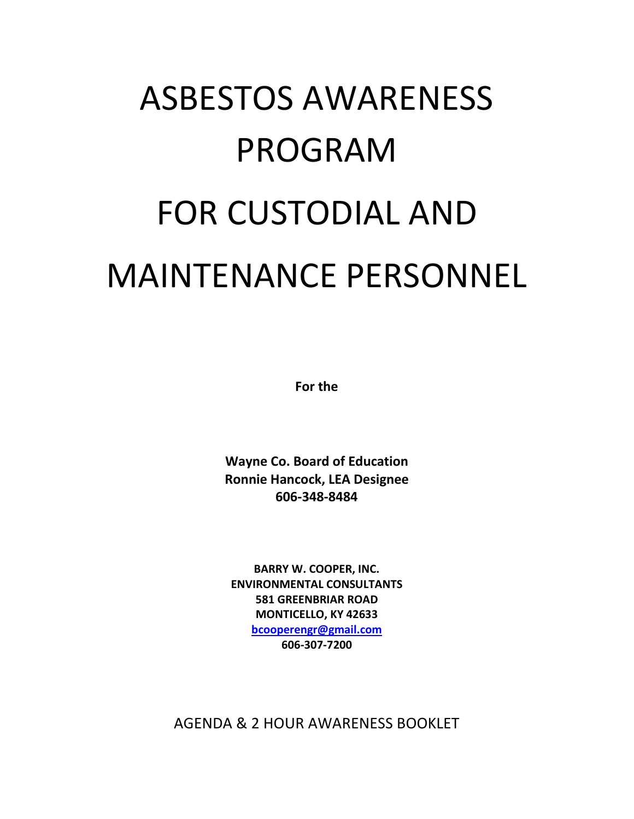# ASBESTOS AWARENESS PROGRAM FOR CUSTODIAL AND MAINTENANCE PERSONNEL

**For the** 

**Wayne Co. Board of Education Ronnie Hancock, LEA Designee 606-348-8484**

**BARRY W. COOPER, INC. ENVIRONMENTAL CONSULTANTS 581 GREENBRIAR ROAD MONTICELLO, KY 42633 [bcooperengr@gmail.com](mailto:bcooperengr@gmail.com) 606-307-7200**

AGENDA & 2 HOUR AWARENESS BOOKLET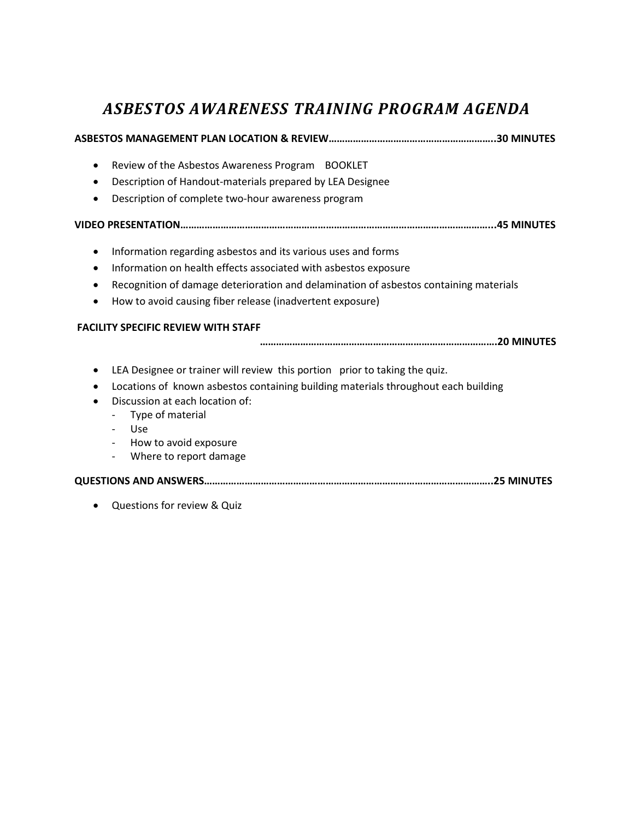#### *ASBESTOS AWARENESS TRAINING PROGRAM AGENDA*

#### **ASBESTOS MANAGEMENT PLAN LOCATION & REVIEW……………………………………………………..30 MINUTES**

- Review of the Asbestos Awareness Program BOOKLET
- Description of Handout-materials prepared by LEA Designee
- Description of complete two-hour awareness program

#### **VIDEO PRESENTATION……………………………………………………………………………………………………...45 MINUTES**

- Information regarding asbestos and its various uses and forms
- Information on health effects associated with asbestos exposure
- Recognition of damage deterioration and delamination of asbestos containing materials
- How to avoid causing fiber release (inadvertent exposure)

#### **FACILITY SPECIFIC REVIEW WITH STAFF**

#### **…………………………………………………………………………….20 MINUTES**

- LEA Designee or trainer will review this portion prior to taking the quiz.
- Locations of known asbestos containing building materials throughout each building
- Discussion at each location of:
	- Type of material
	- Use
	- How to avoid exposure
	- Where to report damage

#### **QUESTIONS AND ANSWERS……………………………………………………………………………………………..25 MINUTES**

• Questions for review & Quiz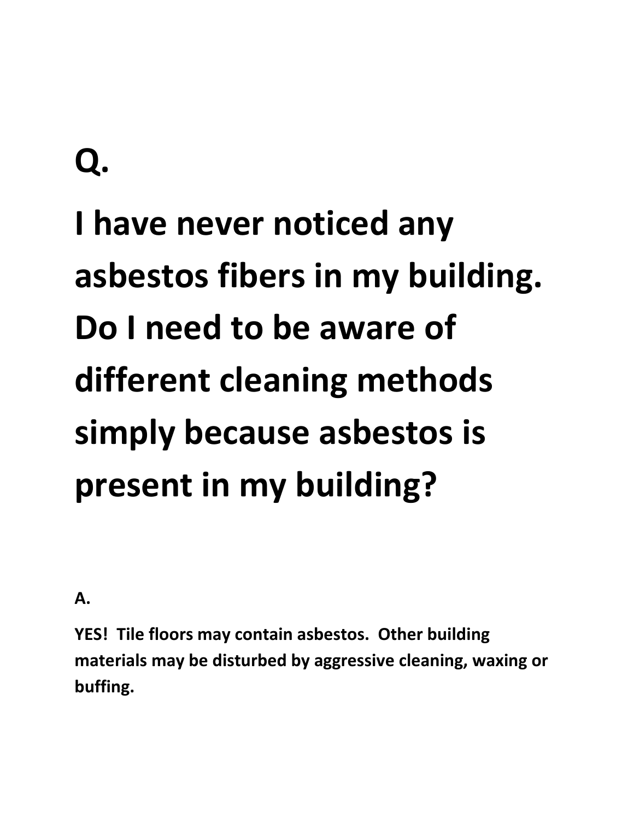## **I have never noticed any asbestos fibers in my building. Do I need to be aware of different cleaning methods simply because asbestos is present in my building?**

**A.**

**YES! Tile floors may contain asbestos. Other building materials may be disturbed by aggressive cleaning, waxing or buffing.**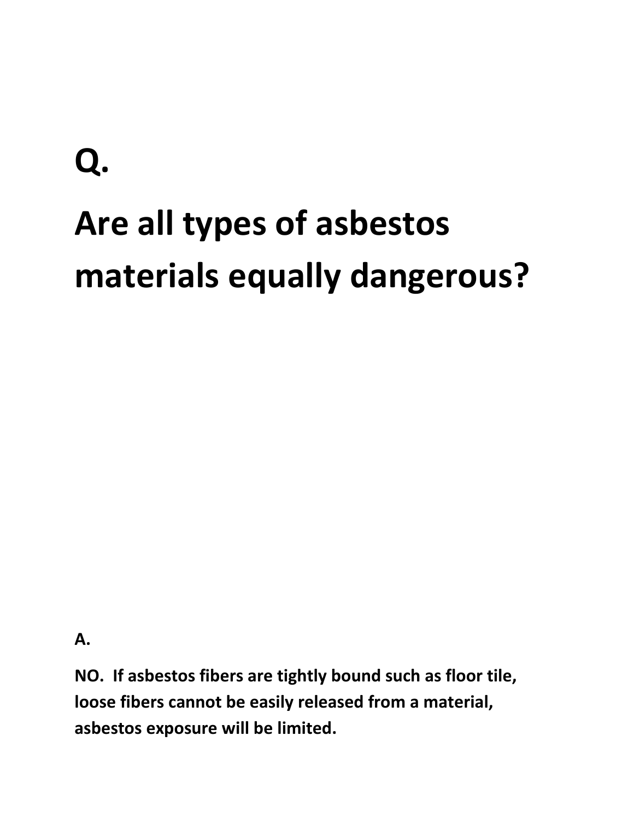# **Q. Are all types of asbestos materials equally dangerous?**

**A.**

**NO. If asbestos fibers are tightly bound such as floor tile, loose fibers cannot be easily released from a material, asbestos exposure will be limited.**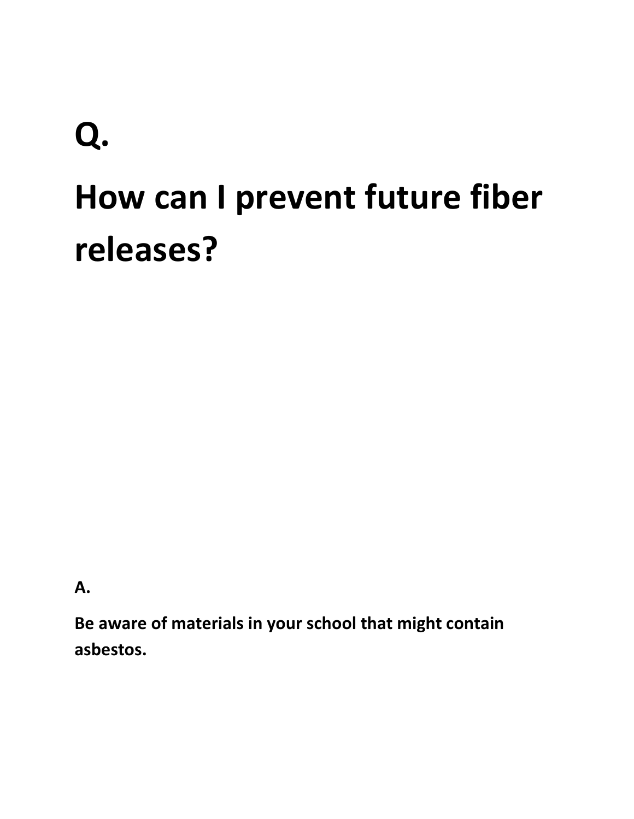## **Q. How can I prevent future fiber releases?**

**A.**

**Be aware of materials in your school that might contain asbestos.**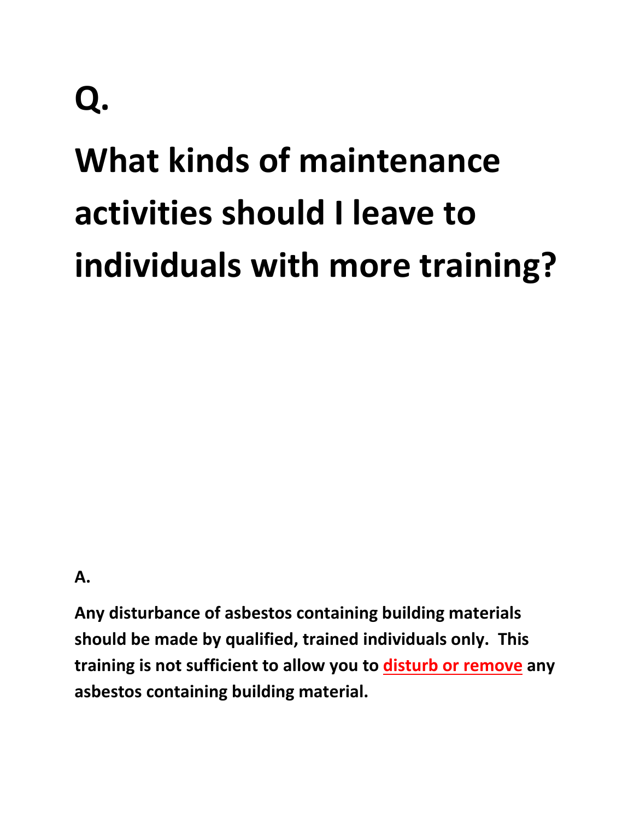## **What kinds of maintenance activities should I leave to individuals with more training?**

**A.**

**Any disturbance of asbestos containing building materials should be made by qualified, trained individuals only. This training is not sufficient to allow you to disturb or remove any asbestos containing building material.**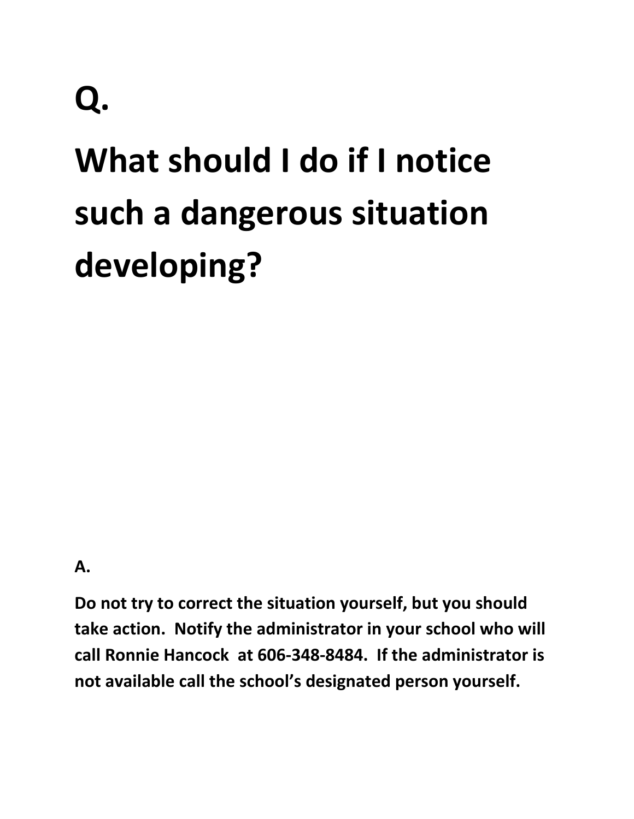## **What should I do if I notice such a dangerous situation developing?**

**A.**

**Do not try to correct the situation yourself, but you should take action. Notify the administrator in your school who will call Ronnie Hancock at 606-348-8484. If the administrator is not available call the school's designated person yourself.**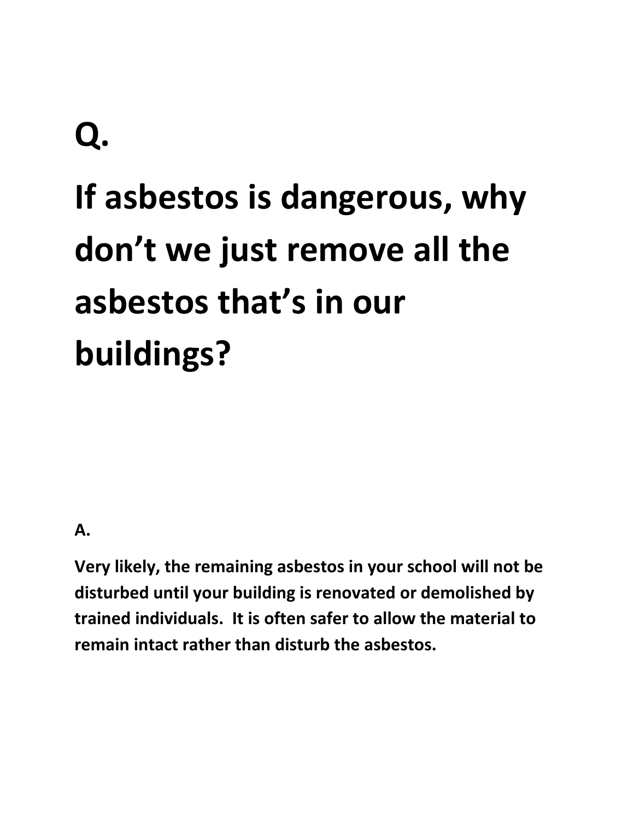## **Q. If asbestos is dangerous, why don't we just remove all the asbestos that's in our buildings?**

#### **A.**

**Very likely, the remaining asbestos in your school will not be disturbed until your building is renovated or demolished by trained individuals. It is often safer to allow the material to remain intact rather than disturb the asbestos.**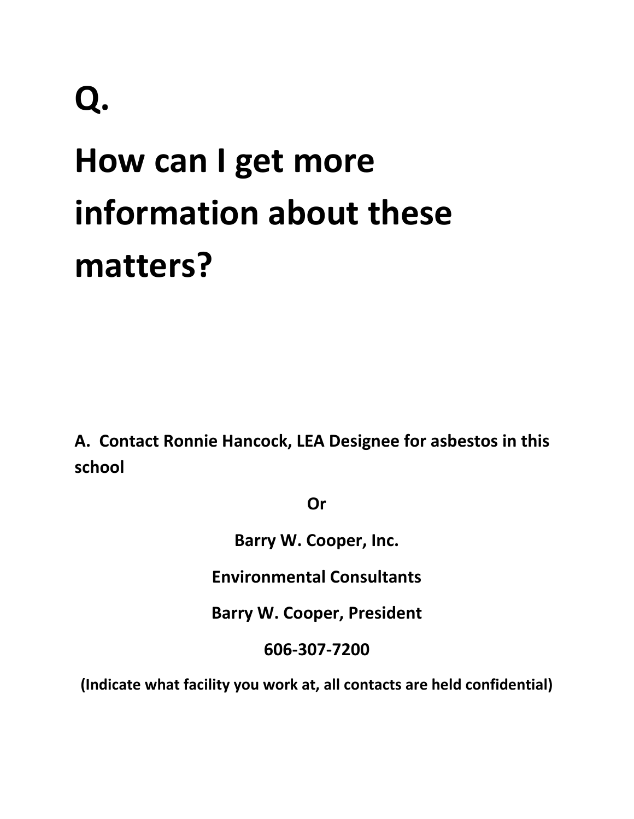## **How can I get more information about these matters?**

**A. Contact Ronnie Hancock, LEA Designee for asbestos in this school** 

**Or**

**Barry W. Cooper, Inc.**

**Environmental Consultants**

**Barry W. Cooper, President**

**606-307-7200**

**(Indicate what facility you work at, all contacts are held confidential)**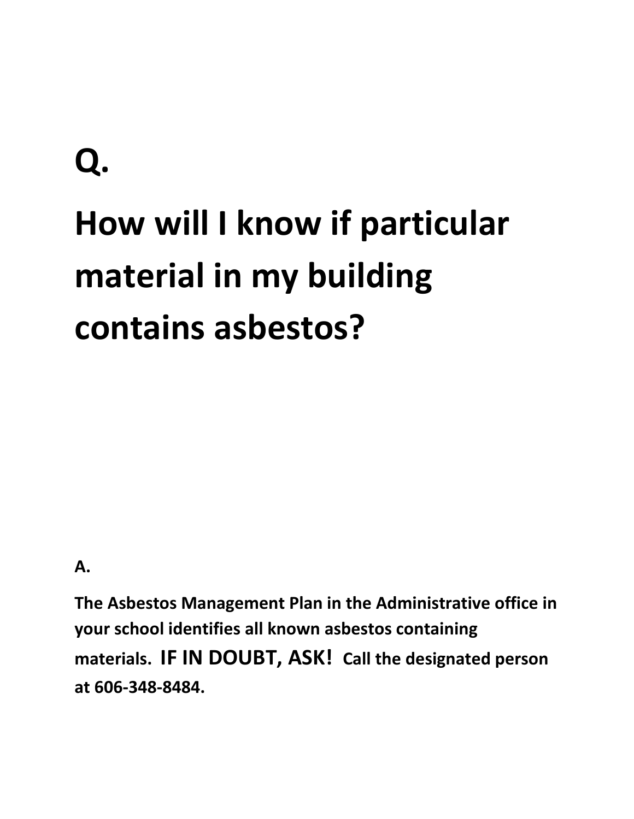# **Q. How will I know if particular material in my building contains asbestos?**

**A.**

**The Asbestos Management Plan in the Administrative office in your school identifies all known asbestos containing materials. IF IN DOUBT, ASK! Call the designated person at 606-348-8484.**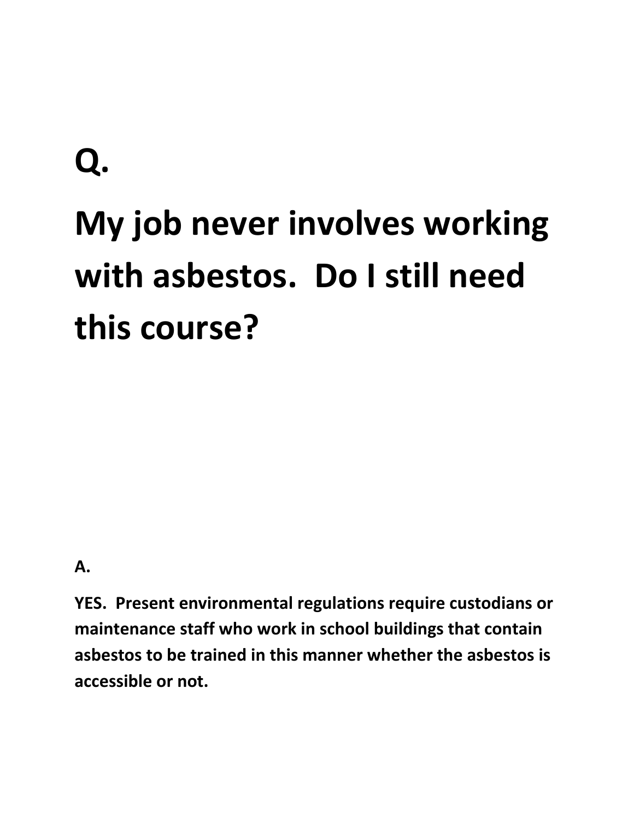# **Q. My job never involves working with asbestos. Do I still need this course?**

**A.**

**YES. Present environmental regulations require custodians or maintenance staff who work in school buildings that contain asbestos to be trained in this manner whether the asbestos is accessible or not.**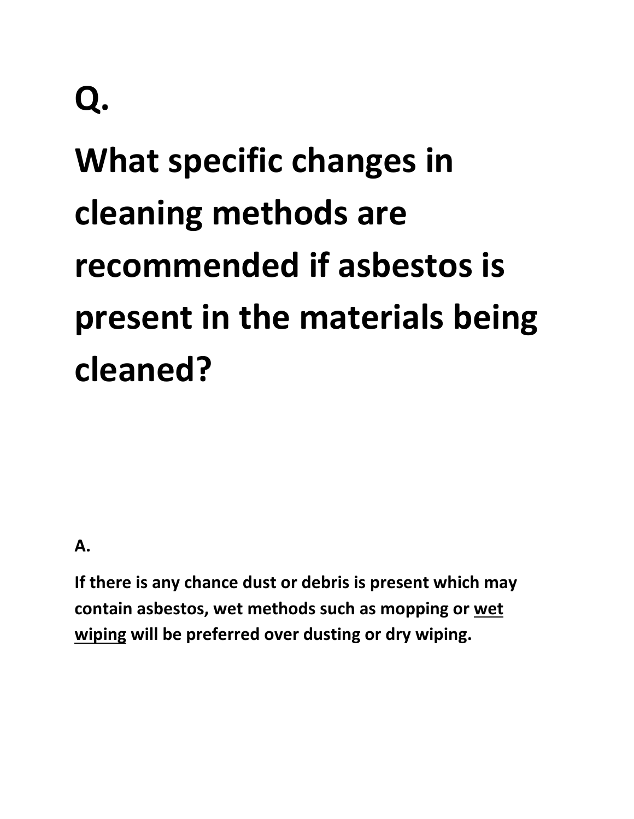## **What specific changes in cleaning methods are recommended if asbestos is present in the materials being cleaned?**

**A.**

**If there is any chance dust or debris is present which may contain asbestos, wet methods such as mopping or wet wiping will be preferred over dusting or dry wiping.**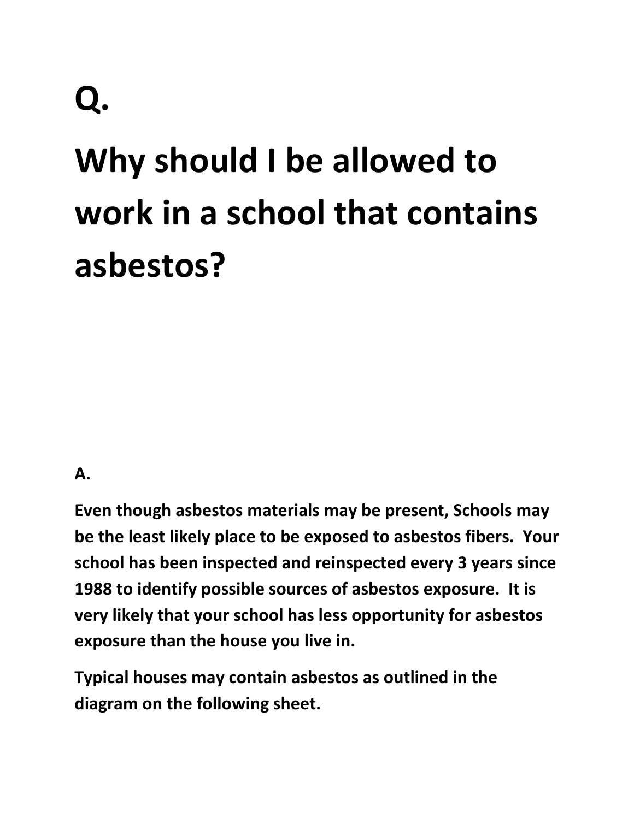## **Why should I be allowed to work in a school that contains asbestos?**

#### **A.**

**Even though asbestos materials may be present, Schools may be the least likely place to be exposed to asbestos fibers. Your school has been inspected and reinspected every 3 years since 1988 to identify possible sources of asbestos exposure. It is very likely that your school has less opportunity for asbestos exposure than the house you live in.** 

**Typical houses may contain asbestos as outlined in the diagram on the following sheet.**